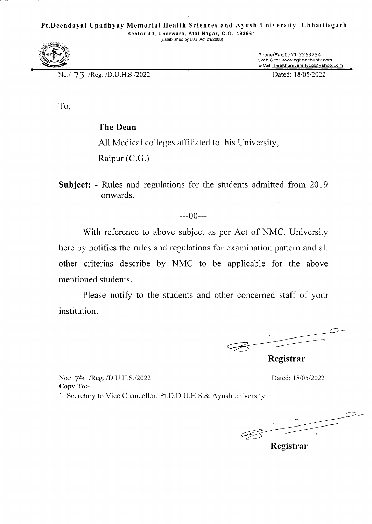## **Pt.Deendayal Upadhyay Memorial Health Sciences and Ayush University Chhattisgarh**

**Sector-40, Uparwara, Atal Nagar, C.G. 493661**  (Established by CG. Act 21/2008)



No.! 73 !Reg. /D.U.H.S./2022 Dated: *18/05/2022* 

Phone/Fax:0771-2263234<br>Web Site: www.cghealthuniv.com E-Mail: healthuniversitycg@yahoo.com

To,

# The Dean

All Medical colleges affiliated to this University,

Raipur (C.G.)

Subject: - Rules and regulations for the students admitted from 2019 onwards.

---00---

With reference to above subject as per Act of NMC, University here by notifies the rules and regulations for examination pattern and all other criterias describe by NMC to be applicable for the above mentioned students.

Please notify to the students and other concerned staff of your institution.

 $\subset$ **Registrar** 

No./ 74 /Reg. /D.U.H.S./2022 Dated: 18/05/2022 **Copy To:**- 1. Secretary to Vice Chancellor, Pt.D.D.U.H.S.& Ayush university.

 $\mathcal{Q}$ 

**Registrar**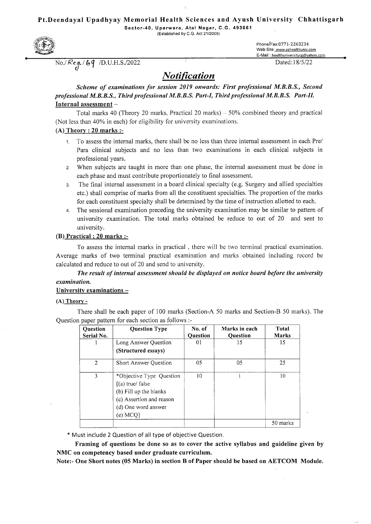#### **Pt.Deendayal Upadhyay Memorial Health Sciences and Ayush University Chhattisgarh**

**Sector-40, Uparwara, Atal Nagar, C.G. 493661** 

(Established by C.G. Act 21/2008)



No./Reg./69 /D.U.H.S./2022 Contract to Dated: 18/5/22

Phone/Fax:0771-22 63 234 Web Site: www.cghealthuniv.com E-Mail : healthuniversitycg@yahoo.com

# *Notification*

## *Scheme of examinations for session 2019 onwards: First professional M.B.B.S., Second professional M.B.B.S., Third professional M.B.B.S. Part-I, Third professional M. B.B.S. Part-Il.*  **Internal assessment** —

Total marks 40 (Theory 20 marks, Practical 20 marks) — 50% combined theory and practical (Not less than 40% in each) for eligibility for university examinations.

#### **(A) Theory** : **20 marks** :-

- 1. To assess the internal marks, there shall be no less than three internal assessment in each Pre/ Para clinical subjects and no less than two examinations in each clinical subjects in professional years.
- 2. When subjects are taught in more than one phase, the internal assessment must be done in each phase and must contribute proportionately to final assessment.
- 3. The final internal assessment in a board clinical specialty (e.g. Surgery and allied specialties etc.) shall comprise of marks from all the constituent specialties. The proportion of the marks for each constituent specialty shall be determined by the time of instruction allotted to each.
- 4. The sessional examination preceding the university examination may be similar to pattern of university examination. The total marks obtained be reduce to out of 20 and sent to university.

#### **(B) Practical** : **20 marks** :-

To assess the internal marks in practical , there will be two terminal practical examination. Average marks of two terminal practical examination and marks obtained including record be calculated and reduce to out of 20 and send to university.

### *The result of internal assessment should be displayed on notice board before the university examination.*

#### **University examinations** —

#### (A) **Theory** -

There shall be each paper of 100 marks (Section-A 50 marks and Section-B 50 marks). The Question paper pattern for each section as follows :-

| <b>Question</b><br>Serial No. | <b>Question Type</b>                                                                                                                     | No. of<br><b>Ouestion</b> | Marks in each<br><b>Ouestion</b> | Total<br><b>Marks</b> |
|-------------------------------|------------------------------------------------------------------------------------------------------------------------------------------|---------------------------|----------------------------------|-----------------------|
|                               | Long Answer Question<br>(Structured essays)                                                                                              | 01                        | 15                               | 15                    |
| 2                             | <b>Short Answer Question</b>                                                                                                             | 05                        | 05                               | 25                    |
| 3                             | *Objective Type Question<br>$(a)$ true/ false<br>(b) Fill up the blanks<br>(c) Assertion and reason<br>(d) One word answer<br>$(e)$ MCQ] | 10                        |                                  | 10                    |
|                               |                                                                                                                                          |                           |                                  | 50 marks              |

\* Must include 2 Question of all type of objective Question.

**Framing of questions be done so as to cover the active syllabus and guideline given by NMC on competency based under graduate curriculum.** 

**Note:- One Short notes (05 Marks) in section B of Paper should be based on AETCOM Module.**